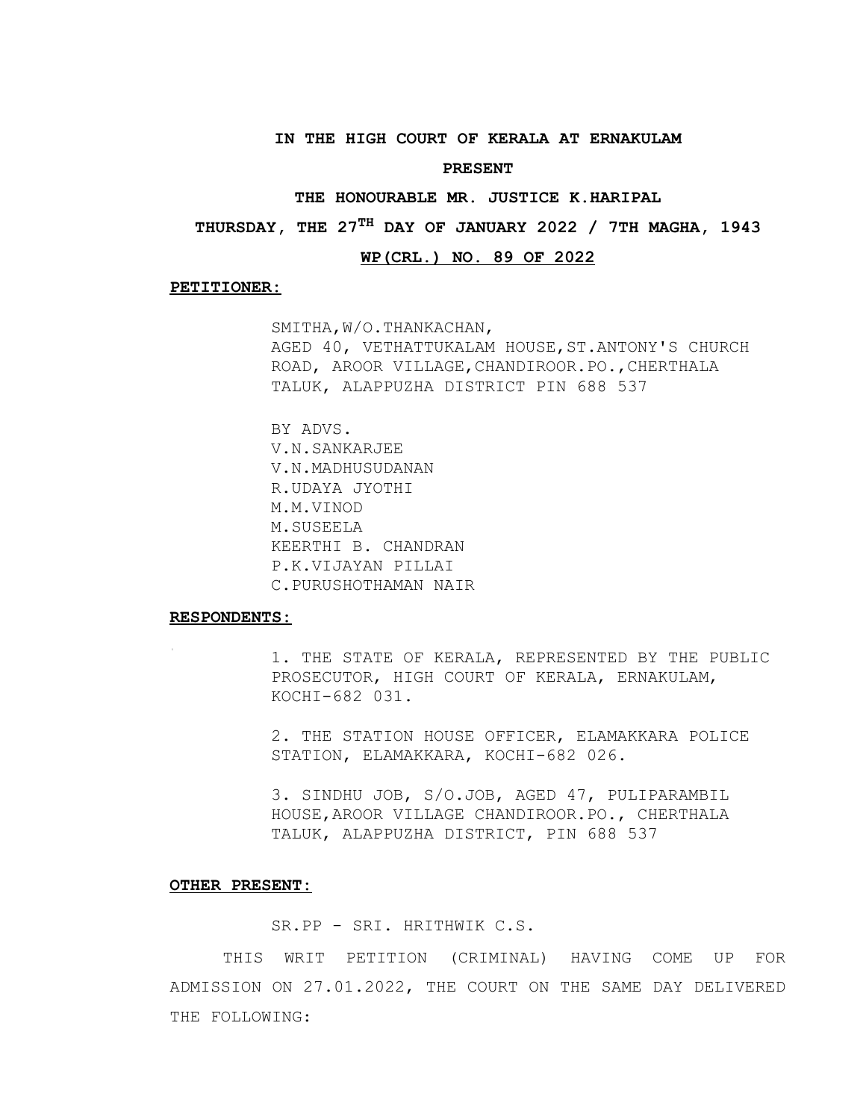#### **IN THE HIGH COURT OF KERALA AT ERNAKULAM**

#### **PRESENT**

#### **THE HONOURABLE MR. JUSTICE K.HARIPAL**

**THURSDAY, THE 27TH DAY OF JANUARY 2022 / 7TH MAGHA, 1943**

#### **WP(CRL.) NO. 89 OF 2022**

#### **PETITIONER:**

SMITHA,W/O.THANKACHAN, AGED 40, VETHATTUKALAM HOUSE,ST.ANTONY'S CHURCH ROAD, AROOR VILLAGE,CHANDIROOR.PO.,CHERTHALA TALUK, ALAPPUZHA DISTRICT PIN 688 537

BY ADVS. V.N.SANKARJEE V.N.MADHUSUDANAN R.UDAYA JYOTHI M.M.VINOD M.SUSEELA KEERTHI B. CHANDRAN P.K.VIJAYAN PILLAI C.PURUSHOTHAMAN NAIR

### **RESPONDENTS:**

1. THE STATE OF KERALA, REPRESENTED BY THE PUBLIC PROSECUTOR, HIGH COURT OF KERALA, ERNAKULAM, KOCHI-682 031.

2. THE STATION HOUSE OFFICER, ELAMAKKARA POLICE STATION, ELAMAKKARA, KOCHI-682 026.

3. SINDHU JOB, S/O.JOB, AGED 47, PULIPARAMBIL HOUSE,AROOR VILLAGE CHANDIROOR.PO., CHERTHALA TALUK, ALAPPUZHA DISTRICT, PIN 688 537

### **OTHER PRESENT:**

SR.PP - SRI. HRITHWIK C.S.

THIS WRIT PETITION (CRIMINAL) HAVING COME UP FOR ADMISSION ON 27.01.2022, THE COURT ON THE SAME DAY DELIVERED THE FOLLOWING: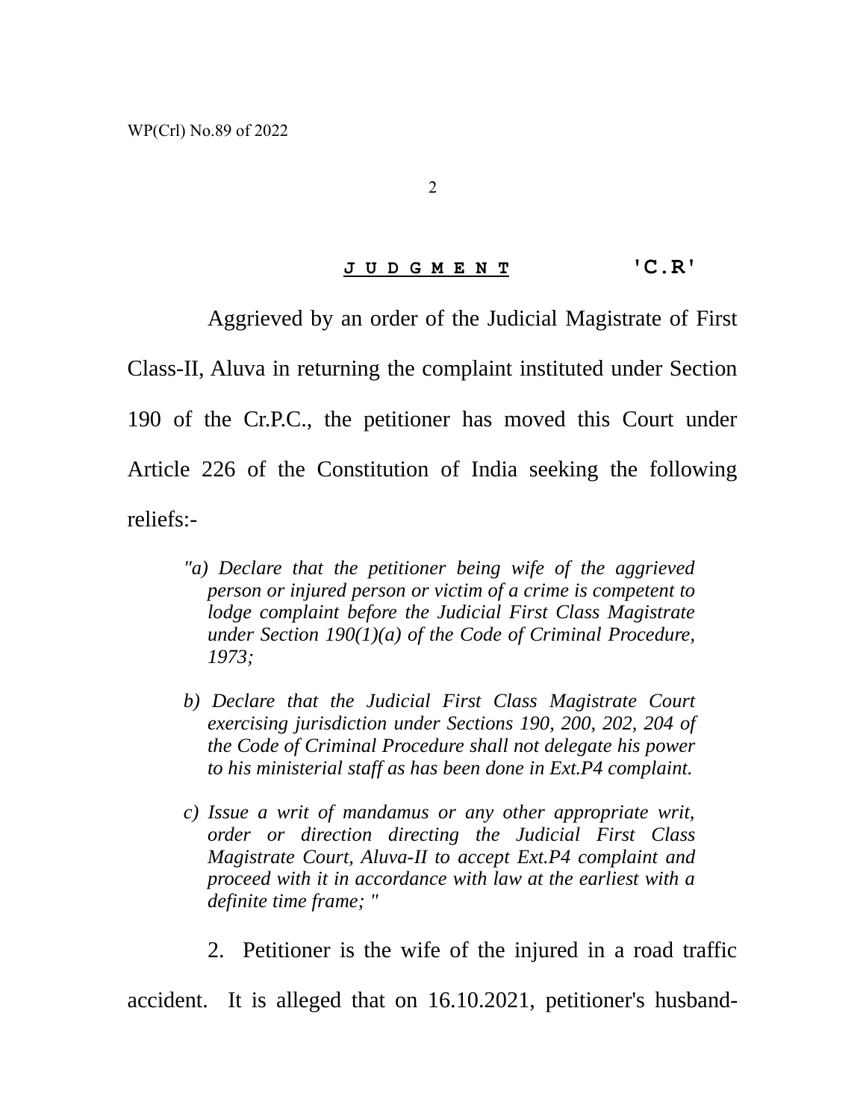## **J U D G M E N T 'C.R'**

Aggrieved by an order of the Judicial Magistrate of First

Class-II, Aluva in returning the complaint instituted under Section 190 of the Cr.P.C., the petitioner has moved this Court under Article 226 of the Constitution of India seeking the following reliefs:-

- *"a) Declare that the petitioner being wife of the aggrieved person or injured person or victim of a crime is competent to lodge complaint before the Judicial First Class Magistrate under Section 190(1)(a) of the Code of Criminal Procedure, 1973;*
- *b) Declare that the Judicial First Class Magistrate Court exercising jurisdiction under Sections 190, 200, 202, 204 of the Code of Criminal Procedure shall not delegate his power to his ministerial staff as has been done in Ext.P4 complaint.*
- *c) Issue a writ of mandamus or any other appropriate writ, order or direction directing the Judicial First Class Magistrate Court, Aluva-II to accept Ext.P4 complaint and proceed with it in accordance with law at the earliest with a definite time frame; "*
	- 2. Petitioner is the wife of the injured in a road traffic

accident. It is alleged that on 16.10.2021, petitioner's husband-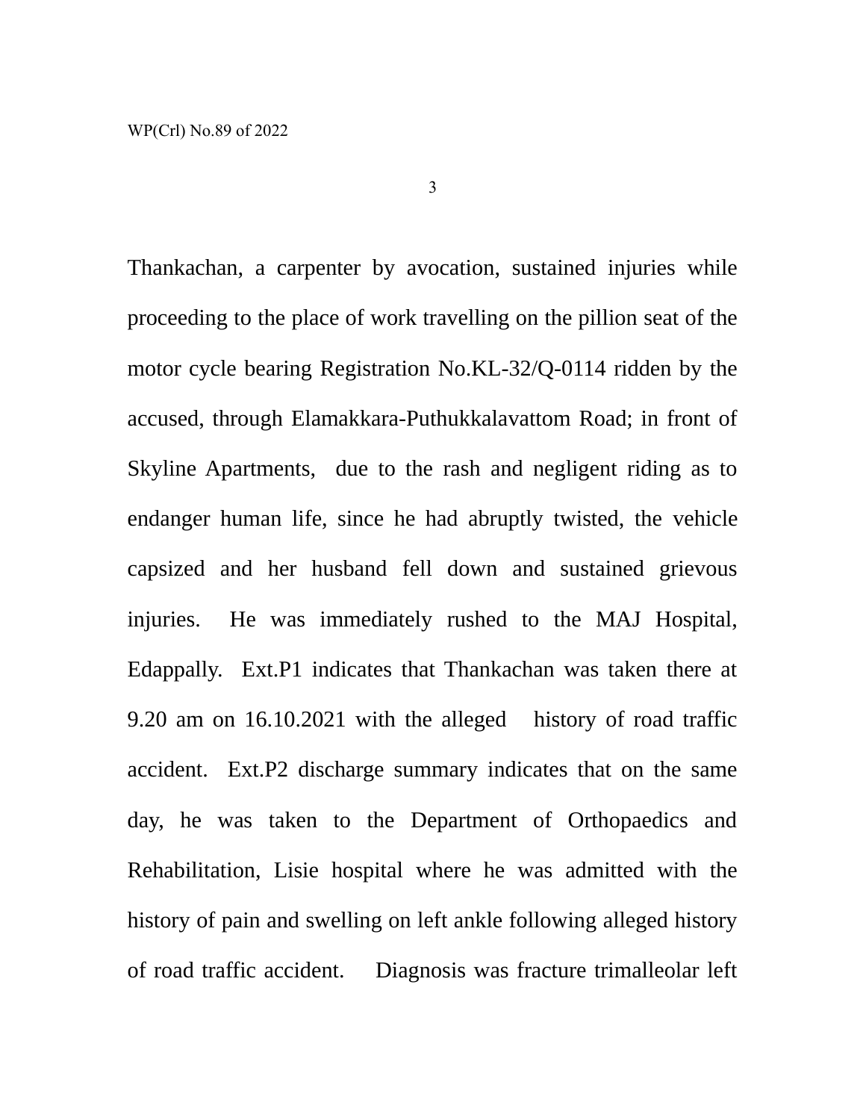Thankachan, a carpenter by avocation, sustained injuries while proceeding to the place of work travelling on the pillion seat of the motor cycle bearing Registration No.KL-32/Q-0114 ridden by the accused, through Elamakkara-Puthukkalavattom Road; in front of Skyline Apartments, due to the rash and negligent riding as to endanger human life, since he had abruptly twisted, the vehicle capsized and her husband fell down and sustained grievous injuries. He was immediately rushed to the MAJ Hospital, Edappally. Ext.P1 indicates that Thankachan was taken there at 9.20 am on 16.10.2021 with the alleged history of road traffic accident. Ext.P2 discharge summary indicates that on the same day, he was taken to the Department of Orthopaedics and Rehabilitation, Lisie hospital where he was admitted with the history of pain and swelling on left ankle following alleged history of road traffic accident. Diagnosis was fracture trimalleolar left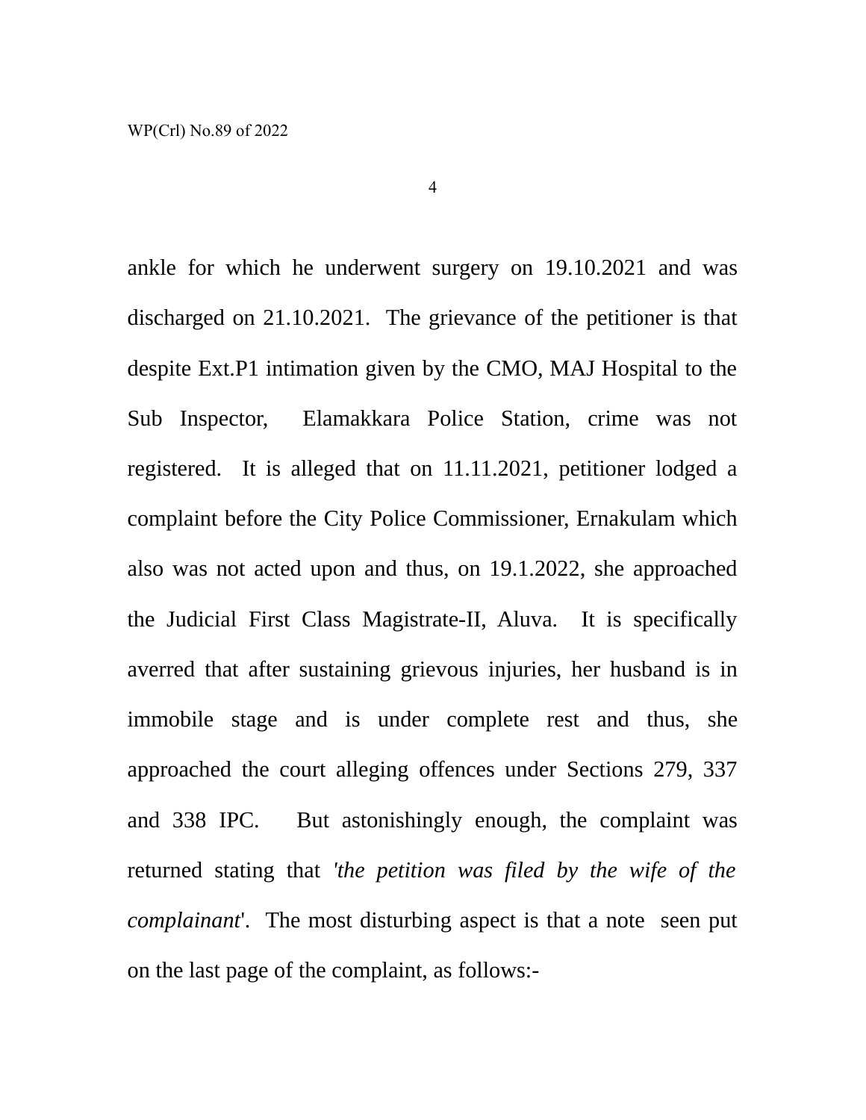ankle for which he underwent surgery on 19.10.2021 and was discharged on 21.10.2021. The grievance of the petitioner is that despite Ext.P1 intimation given by the CMO, MAJ Hospital to the Sub Inspector, Elamakkara Police Station, crime was not registered. It is alleged that on 11.11.2021, petitioner lodged a complaint before the City Police Commissioner, Ernakulam which also was not acted upon and thus, on 19.1.2022, she approached the Judicial First Class Magistrate-II, Aluva. It is specifically averred that after sustaining grievous injuries, her husband is in immobile stage and is under complete rest and thus, she approached the court alleging offences under Sections 279, 337 and 338 IPC. But astonishingly enough, the complaint was returned stating that *'the petition was filed by the wife of the complainant*'. The most disturbing aspect is that a note seen put on the last page of the complaint, as follows:-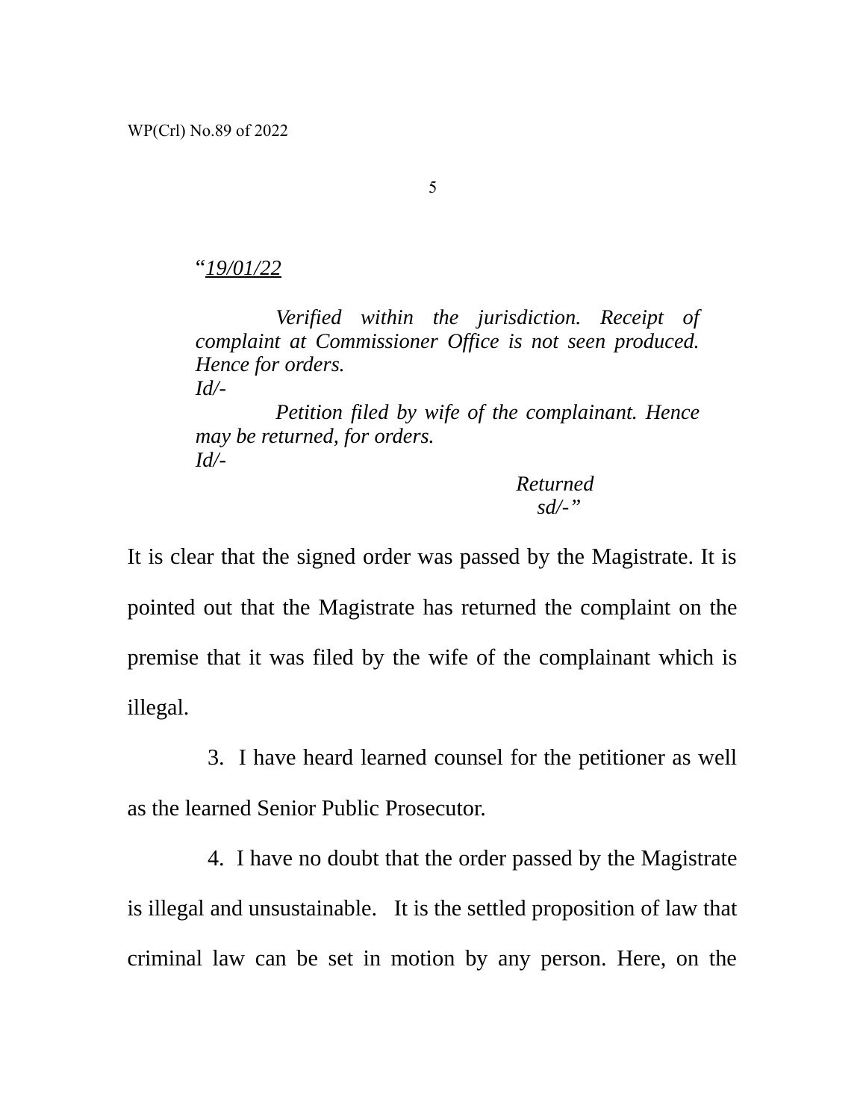"*19/01/22*

*Verified within the jurisdiction. Receipt of complaint at Commissioner Office is not seen produced. Hence for orders. Id/-*

*Petition filed by wife of the complainant. Hence may be returned, for orders. Id/-*

> *Returned sd/-"*

It is clear that the signed order was passed by the Magistrate. It is pointed out that the Magistrate has returned the complaint on the premise that it was filed by the wife of the complainant which is illegal.

3. I have heard learned counsel for the petitioner as well

as the learned Senior Public Prosecutor.

4. I have no doubt that the order passed by the Magistrate is illegal and unsustainable. It is the settled proposition of law that criminal law can be set in motion by any person. Here, on the

5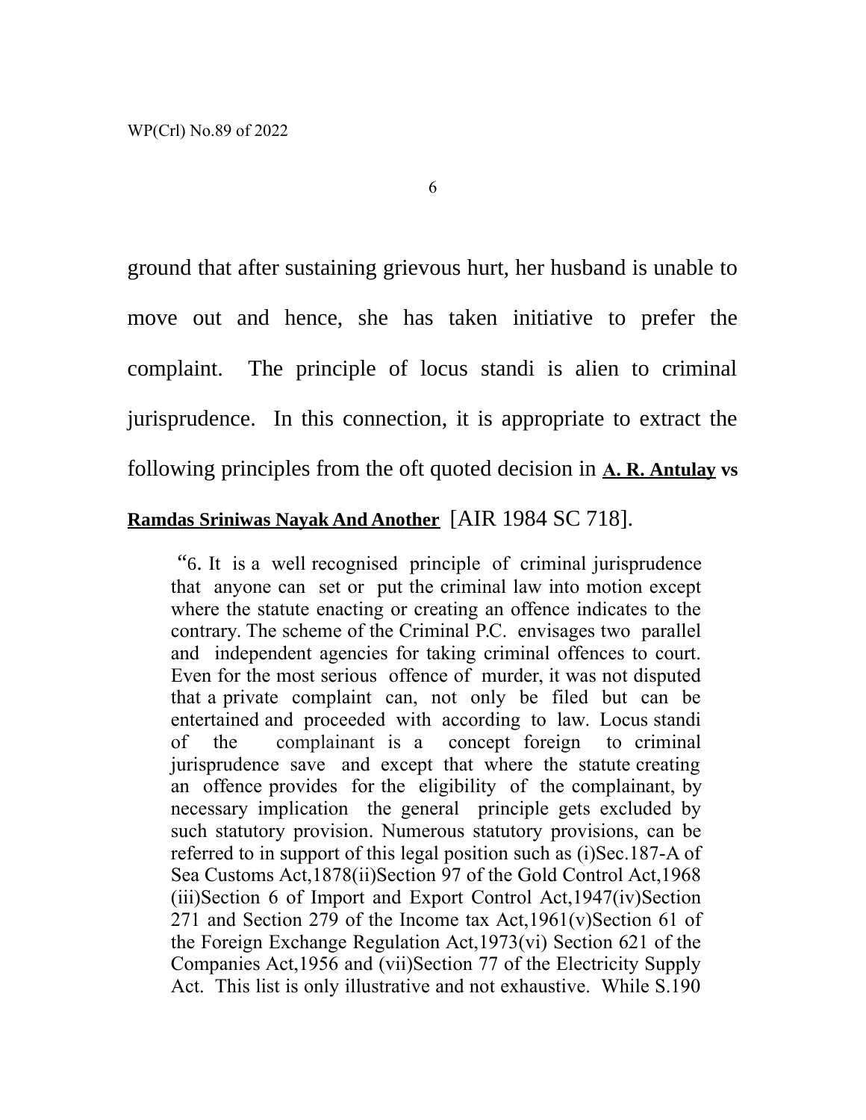ground that after sustaining grievous hurt, her husband is unable to move out and hence, she has taken initiative to prefer the complaint. The principle of locus standi is alien to criminal jurisprudence. In this connection, it is appropriate to extract the following principles from the oft quoted decision in **A. R.Antulay vs**

# **Ramdas Sriniwas Nayak And Another** [AIR 1984 SC 718].

 "6. It is a well recognised principle of criminal jurisprudence that anyone can set or put the criminal law into motion except where the statute enacting or creating an offence indicates to the contrary. The scheme of the Criminal P.C. envisages two parallel and independent agencies for taking criminal offences to court. Even for the most serious offence of murder, it was not disputed that a private complaint can, not only be filed but can be entertained and proceeded with according to law. Locus standi of the complainant is a concept foreign to criminal jurisprudence save and except that where the statute creating an offence provides for the eligibility of the complainant, by necessary implication the general principle gets excluded by such statutory provision. Numerous statutory provisions, can be referred to in support of this legal position such as (i)Sec.187-A of Sea Customs Act,1878(ii)Section 97 of the Gold Control Act,1968 (iii)Section 6 of Import and Export Control Act,1947(iv)Section 271 and Section 279 of the Income tax Act,1961(v)Section 61 of the Foreign Exchange Regulation Act,1973(vi) Section 621 of the Companies Act,1956 and (vii)Section 77 of the Electricity Supply Act. This list is only illustrative and not exhaustive. While S.190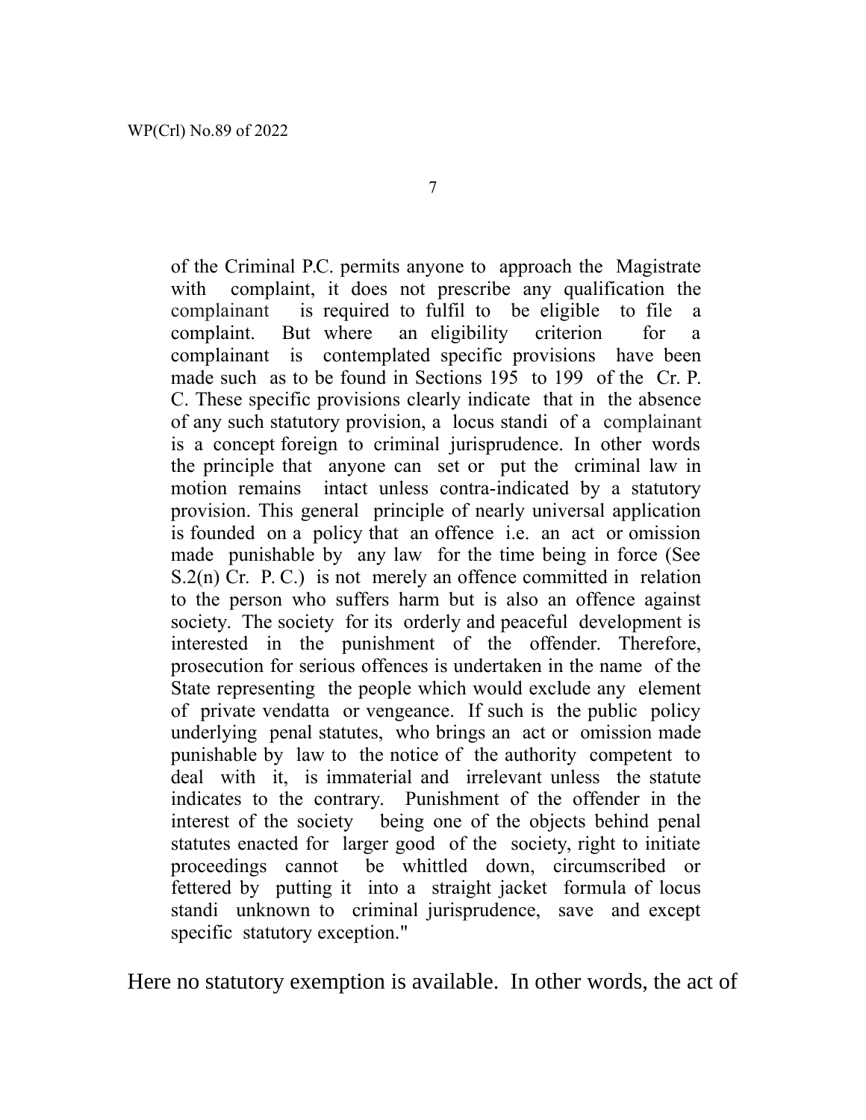of the Criminal P.C. permits anyone to approach the Magistrate with complaint, it does not prescribe any qualification the complainant is required to fulfil to be eligible to file a complaint. But where an eligibility criterion for a complainant is contemplated specific provisions have been made such as to be found in Sections 195 to 199 of the Cr. P. C. These specific provisions clearly indicate that in the absence of any such statutory provision, a locus standi of a complainant is a concept foreign to criminal jurisprudence. In other words the principle that anyone can set or put the criminal law in motion remains intact unless contra-indicated by a statutory provision. This general principle of nearly universal application is founded on a policy that an offence i.e. an act or omission made punishable by any law for the time being in force (See S.2(n) Cr. P.C.) is not merely an offence committed in relation to the person who suffers harm but is also an offence against society. The society for its orderly and peaceful development is interested in the punishment of the offender. Therefore, prosecution for serious offences is undertaken in the name of the State representing the people which would exclude any element of private vendatta or vengeance. If such is the public policy underlying penal statutes, who brings an act or omission made punishable by law to the notice of the authority competent to deal with it, is immaterial and irrelevant unless the statute indicates to the contrary. Punishment of the offender in the interest of the society being one of the objects behind penal statutes enacted for larger good of the society, right to initiate proceedings cannot be whittled down, circumscribed or fettered by putting it into a straight jacket formula of locus standi unknown to criminal jurisprudence, save and except specific statutory exception."

Here no statutory exemption is available. In other words, the act of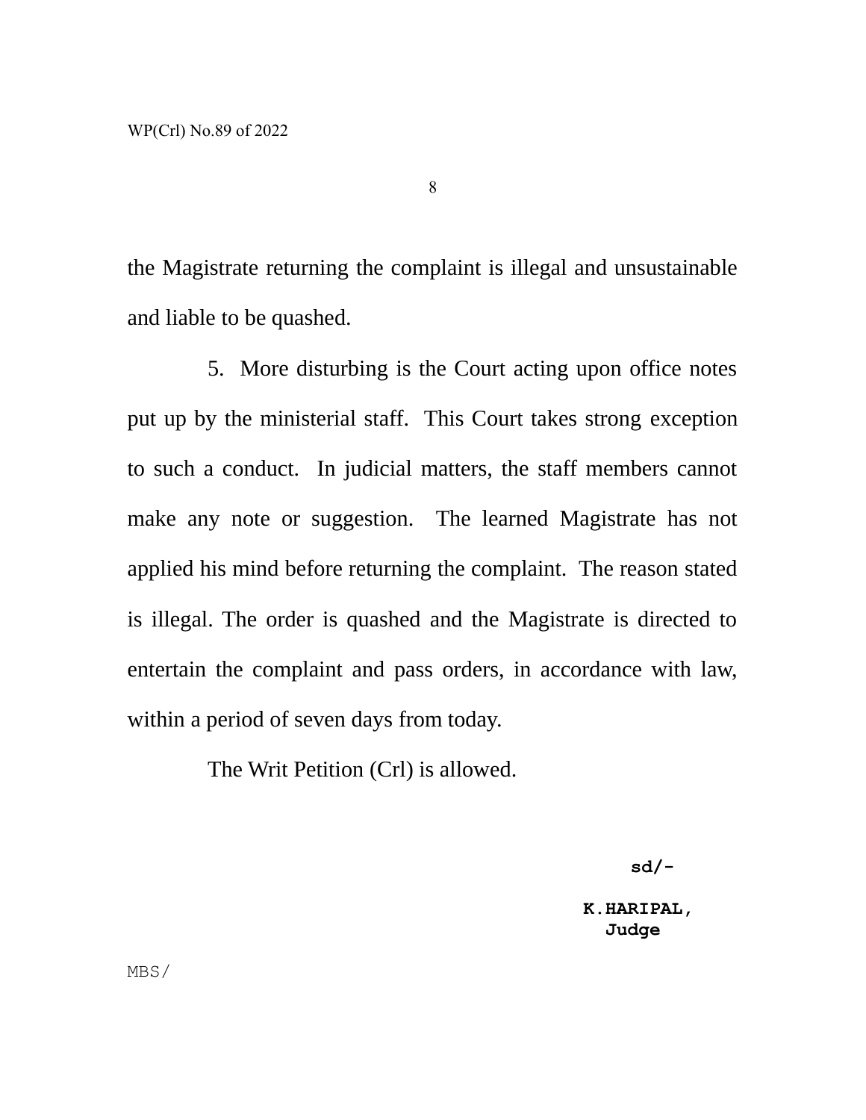the Magistrate returning the complaint is illegal and unsustainable and liable to be quashed.

8

5. More disturbing is the Court acting upon office notes put up by the ministerial staff. This Court takes strong exception to such a conduct. In judicial matters, the staff members cannot make any note or suggestion. The learned Magistrate has not applied his mind before returning the complaint. The reason stated is illegal. The order is quashed and the Magistrate is directed to entertain the complaint and pass orders, in accordance with law, within a period of seven days from today.

The Writ Petition (Crl) is allowed.

 **sd/-**

 **K.HARIPAL, Judge**

MBS/